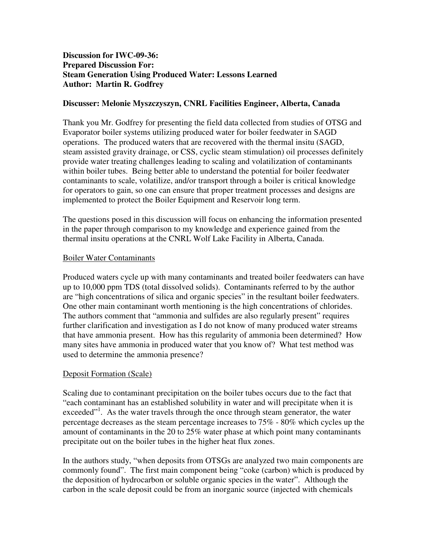# **Discussion for IWC-09-36: Prepared Discussion For: Steam Generation Using Produced Water: Lessons Learned Author: Martin R. Godfrey**

## **Discusser: Melonie Myszczyszyn, CNRL Facilities Engineer, Alberta, Canada**

Thank you Mr. Godfrey for presenting the field data collected from studies of OTSG and Evaporator boiler systems utilizing produced water for boiler feedwater in SAGD operations. The produced waters that are recovered with the thermal insitu (SAGD, steam assisted gravity drainage, or CSS, cyclic steam stimulation) oil processes definitely provide water treating challenges leading to scaling and volatilization of contaminants within boiler tubes. Being better able to understand the potential for boiler feedwater contaminants to scale, volatilize, and/or transport through a boiler is critical knowledge for operators to gain, so one can ensure that proper treatment processes and designs are implemented to protect the Boiler Equipment and Reservoir long term.

The questions posed in this discussion will focus on enhancing the information presented in the paper through comparison to my knowledge and experience gained from the thermal insitu operations at the CNRL Wolf Lake Facility in Alberta, Canada.

### Boiler Water Contaminants

Produced waters cycle up with many contaminants and treated boiler feedwaters can have up to 10,000 ppm TDS (total dissolved solids). Contaminants referred to by the author are "high concentrations of silica and organic species" in the resultant boiler feedwaters. One other main contaminant worth mentioning is the high concentrations of chlorides. The authors comment that "ammonia and sulfides are also regularly present" requires further clarification and investigation as I do not know of many produced water streams that have ammonia present. How has this regularity of ammonia been determined? How many sites have ammonia in produced water that you know of? What test method was used to determine the ammonia presence?

### Deposit Formation (Scale)

Scaling due to contaminant precipitation on the boiler tubes occurs due to the fact that "each contaminant has an established solubility in water and will precipitate when it is exceeded"<sup>1</sup>. As the water travels through the once through steam generator, the water percentage decreases as the steam percentage increases to 75% - 80% which cycles up the amount of contaminants in the 20 to 25% water phase at which point many contaminants precipitate out on the boiler tubes in the higher heat flux zones.

In the authors study, "when deposits from OTSGs are analyzed two main components are commonly found". The first main component being "coke (carbon) which is produced by the deposition of hydrocarbon or soluble organic species in the water". Although the carbon in the scale deposit could be from an inorganic source (injected with chemicals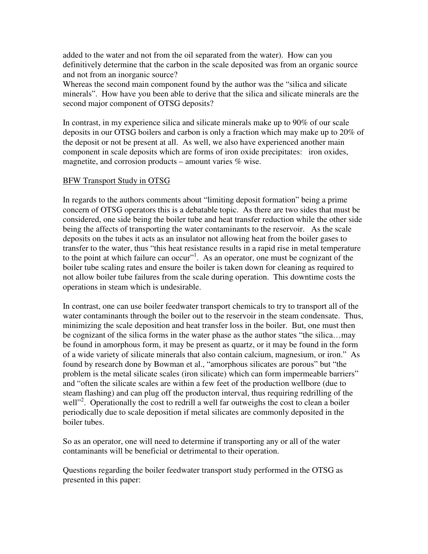added to the water and not from the oil separated from the water). How can you definitively determine that the carbon in the scale deposited was from an organic source and not from an inorganic source?

Whereas the second main component found by the author was the "silica and silicate minerals". How have you been able to derive that the silica and silicate minerals are the second major component of OTSG deposits?

In contrast, in my experience silica and silicate minerals make up to 90% of our scale deposits in our OTSG boilers and carbon is only a fraction which may make up to 20% of the deposit or not be present at all. As well, we also have experienced another main component in scale deposits which are forms of iron oxide precipitates: iron oxides, magnetite, and corrosion products – amount varies % wise.

### BFW Transport Study in OTSG

In regards to the authors comments about "limiting deposit formation" being a prime concern of OTSG operators this is a debatable topic. As there are two sides that must be considered, one side being the boiler tube and heat transfer reduction while the other side being the affects of transporting the water contaminants to the reservoir. As the scale deposits on the tubes it acts as an insulator not allowing heat from the boiler gases to transfer to the water, thus "this heat resistance results in a rapid rise in metal temperature to the point at which failure can occur"<sup>1</sup>. As an operator, one must be cognizant of the boiler tube scaling rates and ensure the boiler is taken down for cleaning as required to not allow boiler tube failures from the scale during operation. This downtime costs the operations in steam which is undesirable.

In contrast, one can use boiler feedwater transport chemicals to try to transport all of the water contaminants through the boiler out to the reservoir in the steam condensate. Thus, minimizing the scale deposition and heat transfer loss in the boiler. But, one must then be cognizant of the silica forms in the water phase as the author states "the silica…may be found in amorphous form, it may be present as quartz, or it may be found in the form of a wide variety of silicate minerals that also contain calcium, magnesium, or iron." As found by research done by Bowman et al., "amorphous silicates are porous" but "the problem is the metal silicate scales (iron silicate) which can form impermeable barriers" and "often the silicate scales are within a few feet of the production wellbore (due to steam flashing) and can plug off the producton interval, thus requiring redrilling of the well"<sup>2</sup>. Operationally the cost to redrill a well far outweighs the cost to clean a boiler periodically due to scale deposition if metal silicates are commonly deposited in the boiler tubes.

So as an operator, one will need to determine if transporting any or all of the water contaminants will be beneficial or detrimental to their operation.

Questions regarding the boiler feedwater transport study performed in the OTSG as presented in this paper: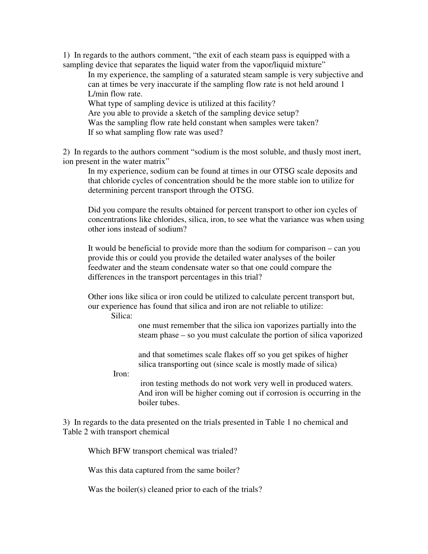1) In regards to the authors comment, "the exit of each steam pass is equipped with a sampling device that separates the liquid water from the vapor/liquid mixture"

In my experience, the sampling of a saturated steam sample is very subjective and can at times be very inaccurate if the sampling flow rate is not held around 1 L/min flow rate.

What type of sampling device is utilized at this facility? Are you able to provide a sketch of the sampling device setup? Was the sampling flow rate held constant when samples were taken? If so what sampling flow rate was used?

2) In regards to the authors comment "sodium is the most soluble, and thusly most inert, ion present in the water matrix"

In my experience, sodium can be found at times in our OTSG scale deposits and that chloride cycles of concentration should be the more stable ion to utilize for determining percent transport through the OTSG.

Did you compare the results obtained for percent transport to other ion cycles of concentrations like chlorides, silica, iron, to see what the variance was when using other ions instead of sodium?

It would be beneficial to provide more than the sodium for comparison – can you provide this or could you provide the detailed water analyses of the boiler feedwater and the steam condensate water so that one could compare the differences in the transport percentages in this trial?

Other ions like silica or iron could be utilized to calculate percent transport but, our experience has found that silica and iron are not reliable to utilize:

Silica:

one must remember that the silica ion vaporizes partially into the steam phase – so you must calculate the portion of silica vaporized

and that sometimes scale flakes off so you get spikes of higher silica transporting out (since scale is mostly made of silica)

Iron:

iron testing methods do not work very well in produced waters. And iron will be higher coming out if corrosion is occurring in the boiler tubes.

3) In regards to the data presented on the trials presented in Table 1 no chemical and Table 2 with transport chemical

Which BFW transport chemical was trialed?

Was this data captured from the same boiler?

Was the boiler(s) cleaned prior to each of the trials?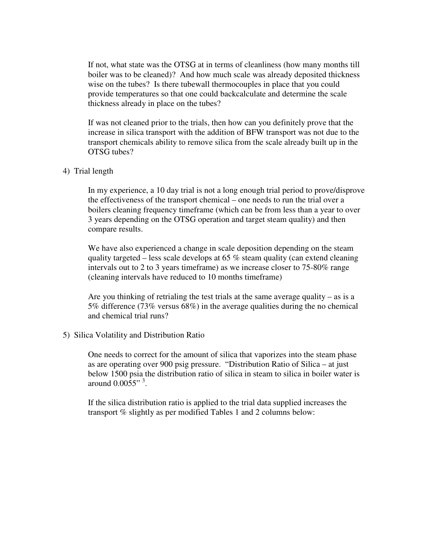If not, what state was the OTSG at in terms of cleanliness (how many months till boiler was to be cleaned)? And how much scale was already deposited thickness wise on the tubes? Is there tubewall thermocouples in place that you could provide temperatures so that one could backcalculate and determine the scale thickness already in place on the tubes?

If was not cleaned prior to the trials, then how can you definitely prove that the increase in silica transport with the addition of BFW transport was not due to the transport chemicals ability to remove silica from the scale already built up in the OTSG tubes?

### 4) Trial length

In my experience, a 10 day trial is not a long enough trial period to prove/disprove the effectiveness of the transport chemical – one needs to run the trial over a boilers cleaning frequency timeframe (which can be from less than a year to over 3 years depending on the OTSG operation and target steam quality) and then compare results.

We have also experienced a change in scale deposition depending on the steam quality targeted – less scale develops at 65 % steam quality (can extend cleaning intervals out to 2 to 3 years timeframe) as we increase closer to 75-80% range (cleaning intervals have reduced to 10 months timeframe)

Are you thinking of retrialing the test trials at the same average quality – as is a 5% difference (73% versus 68%) in the average qualities during the no chemical and chemical trial runs?

#### 5) Silica Volatility and Distribution Ratio

One needs to correct for the amount of silica that vaporizes into the steam phase as are operating over 900 psig pressure. "Distribution Ratio of Silica – at just below 1500 psia the distribution ratio of silica in steam to silica in boiler water is around  $0.0055$ "<sup>3</sup>.

If the silica distribution ratio is applied to the trial data supplied increases the transport % slightly as per modified Tables 1 and 2 columns below: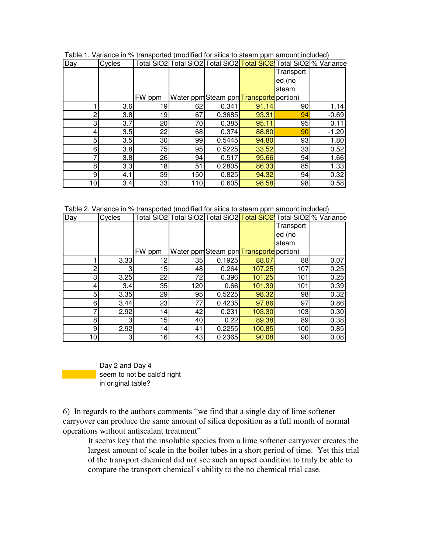| Day | Cycles |        |     |        |                                         |                 | Total SiO2 Total SiO2 Total SiO2  <mark>Total SiO2 </mark> Total SiO2 % Variance |
|-----|--------|--------|-----|--------|-----------------------------------------|-----------------|----------------------------------------------------------------------------------|
|     |        |        |     |        |                                         | Transport       |                                                                                  |
|     |        |        |     |        |                                         | ed (no          |                                                                                  |
|     |        |        |     |        |                                         | steam           |                                                                                  |
|     |        | FW ppm |     |        | Water ppm Steam ppm Transporte portion) |                 |                                                                                  |
|     | 3.6    | 19     | 62  | 0.341  | 91.14                                   | 90 <sub>0</sub> | 1.14                                                                             |
| ◠   | 3.8    | 19     | 67  | 0.3685 | 93.31                                   | 94              | $-0.69$                                                                          |
| 3   | 3.7    | 20     | 70  | 0.385  | 95.11                                   | 95              | 0.11                                                                             |
| 4   | 3.5    | 22     | 68  | 0.374  | 88.80                                   | 90              | $-1.20$                                                                          |
| 5   | 3.5    | 30     | 99  | 0.5445 | 94.80                                   | 93              | 1.80                                                                             |
| 6   | 3.8    | 75     | 95  | 0.5225 | 33.52                                   | 33              | 0.52                                                                             |
| ⇁   | 3.8    | 26     | 94  | 0.517  | 95.66                                   | 94              | 1.66                                                                             |
| 8   | 3.3    | 18     | 51  | 0.2805 | 86.33                                   | 85              | 1.33                                                                             |
| 9   | 4.1    | 39     | 150 | 0.825  | 94.32                                   | 94              | 0.32                                                                             |
| 10  | 3.4    | 33     | 110 | 0.605  | 98.58                                   | 98              | 0.58                                                                             |

Table 1. Variance in % transported (modified for silica to steam ppm amount included)

Table 2. Variance in % transported (modified for silica to steam ppm amount included)

| Day             | Cycles |        |     |        |                                         |           | Total SiO2 Total SiO2 Total SiO2 Total SiO2 Total SiO2 % Variance |
|-----------------|--------|--------|-----|--------|-----------------------------------------|-----------|-------------------------------------------------------------------|
|                 |        |        |     |        |                                         | Transport |                                                                   |
|                 |        |        |     |        |                                         | ed (no    |                                                                   |
|                 |        |        |     |        |                                         | steam     |                                                                   |
|                 |        | FW ppm |     |        | Water ppm Steam ppm Transporte portion) |           |                                                                   |
|                 | 3.33   | 12     | 35  | 0.1925 | 88.07                                   | 88        | 0.07                                                              |
| $\overline{c}$  | 3      | 15     | 48  | 0.264  | 107.25                                  | 107       | 0.25                                                              |
| 3               | 3.25   | 22     | 72  | 0.396  | 101.25                                  | 101       | 0.25                                                              |
| 4               | 3.4    | 35     | 120 | 0.66   | 101.39                                  | 101       | 0.39                                                              |
| 5               | 3.35   | 29     | 95  | 0.5225 | 98.32                                   | 98        | 0.32                                                              |
| 6               | 3.44   | 23     | 77  | 0.4235 | 97.86                                   | 97        | 0.86                                                              |
|                 | 2.92   | 14     | 42  | 0.231  | 103.30                                  | 103       | 0.30                                                              |
| 8               | 31     | 15     | 40  | 0.22   | 89.38                                   | 89        | 0.38                                                              |
| 9               | 2.92   | 14     | 41  | 0.2255 | 100.85                                  | 100       | 0.85                                                              |
| 10 <sub>l</sub> | 3      | 16     | 43  | 0.2365 | 90.08                                   | 90        | 0.08                                                              |

 Day 2 and Day 4 seem to not be calc'd right in original table?

6) In regards to the authors comments "we find that a single day of lime softener carryover can produce the same amount of silica deposition as a full month of normal operations without antiscalant treatment"

It seems key that the insoluble species from a lime softener carryover creates the largest amount of scale in the boiler tubes in a short period of time. Yet this trial of the transport chemical did not see such an upset condition to truly be able to compare the transport chemical's ability to the no chemical trial case.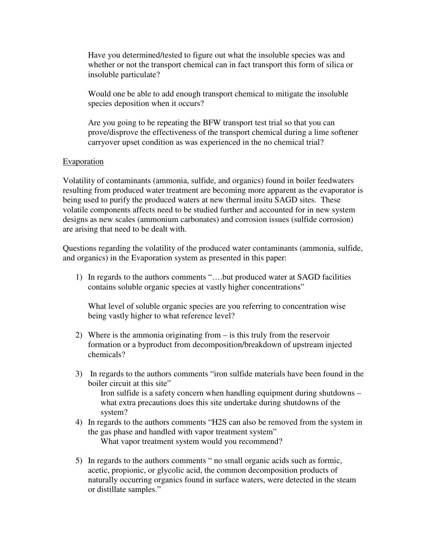Have you determined/tested to figure out what the insoluble species was and whether or not the transport chemical can in fact transport this form of silica or insoluble particulate?

Would one be able to add enough transport chemical to mitigate the insoluble species deposition when it occurs?

Are you going to be repeating the BFW transport test trial so that you can prove/disprove the effectiveness of the transport chemical during a lime softener carryover upset condition as was experienced in the no chemical trial?

### **Evaporation**

Volatility of contaminants (ammonia, sulfide, and organics) found in boiler feedwaters resulting from produced water treatment are becoming more apparent as the evaporator is being used to purify the produced waters at new thermal insitu SAGD sites. These volatile components affects need to be studied further and accounted for in new system designs as new scales (ammonium carbonates) and corrosion issues (sulfide corrosion) are arising that need to be dealt with.

Questions regarding the volatility of the produced water contaminants (ammonia, sulfide, and organics) in the Evaporation system as presented in this paper:

1) In regards to the authors comments "….but produced water at SAGD facilities contains soluble organic species at vastly higher concentrations"

What level of soluble organic species are you referring to concentration wise being vastly higher to what reference level?

- 2) Where is the ammonia originating from is this truly from the reservoir formation or a byproduct from decomposition/breakdown of upstream injected chemicals?
- 3) In regards to the authors comments "iron sulfide materials have been found in the boiler circuit at this site" Iron sulfide is a safety concern when handling equipment during shutdowns – what extra precautions does this site undertake during shutdowns of the system?
- 4) In regards to the authors comments "H2S can also be removed from the system in the gas phase and handled with vapor treatment system" What vapor treatment system would you recommend?
- 5) In regards to the authors comments " no small organic acids such as formic, acetic, propionic, or glycolic acid, the common decomposition products of naturally occurring organics found in surface waters, were detected in the steam or distillate samples."